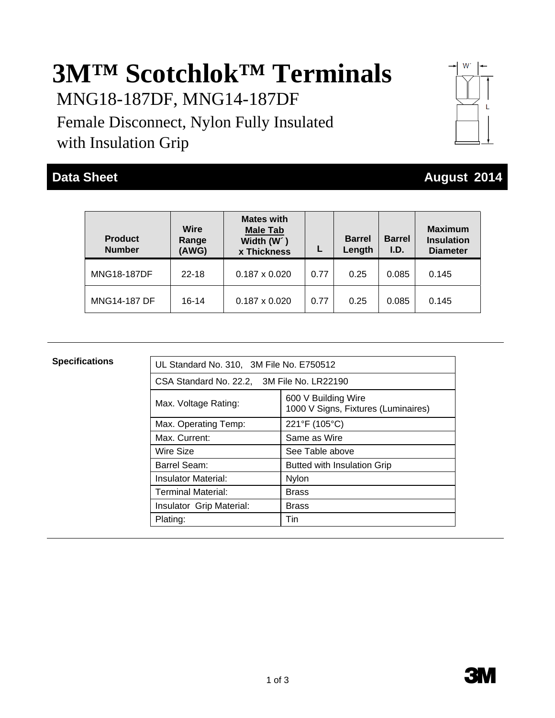# **3M™ Scotchlok™ Terminals**

MNG18-187DF, MNG14-187DF

Female Disconnect, Nylon Fully Insulated with Insulation Grip



## **Data Sheet August 2014 August 2014**

| <b>Product</b><br><b>Number</b> | Wire<br>Range<br>(AWG) | <b>Mates with</b><br><b>Male Tab</b><br>Width (W')<br>x Thickness |      | <b>Barrel</b><br>Length | <b>Barrel</b><br>I.D. | <b>Maximum</b><br><b>Insulation</b><br><b>Diameter</b> |
|---------------------------------|------------------------|-------------------------------------------------------------------|------|-------------------------|-----------------------|--------------------------------------------------------|
| <b>MNG18-187DF</b>              | $22 - 18$              | $0.187 \times 0.020$                                              | 0.77 | 0.25                    | 0.085                 | 0.145                                                  |
| <b>MNG14-187 DF</b>             | $16-14$                | $0.187 \times 0.020$                                              | 0.77 | 0.25                    | 0.085                 | 0.145                                                  |

| <b>Specifications</b> | UL Standard No. 310, 3M File No. E750512 |                                                            |  |  |  |  |
|-----------------------|------------------------------------------|------------------------------------------------------------|--|--|--|--|
|                       |                                          |                                                            |  |  |  |  |
|                       |                                          | CSA Standard No. 22.2, 3M File No. LR22190                 |  |  |  |  |
|                       | Max. Voltage Rating:                     | 600 V Building Wire<br>1000 V Signs, Fixtures (Luminaires) |  |  |  |  |
|                       | Max. Operating Temp:                     | 221°F (105°C)                                              |  |  |  |  |
|                       | Max. Current:                            | Same as Wire                                               |  |  |  |  |
|                       | Wire Size                                | See Table above                                            |  |  |  |  |
|                       | Barrel Seam:                             | <b>Butted with Insulation Grip</b>                         |  |  |  |  |
|                       | Insulator Material:                      | <b>Nylon</b>                                               |  |  |  |  |
|                       | Terminal Material:                       | <b>Brass</b>                                               |  |  |  |  |
|                       | Insulator Grip Material:                 | <b>Brass</b>                                               |  |  |  |  |
|                       | Plating:                                 | Tin                                                        |  |  |  |  |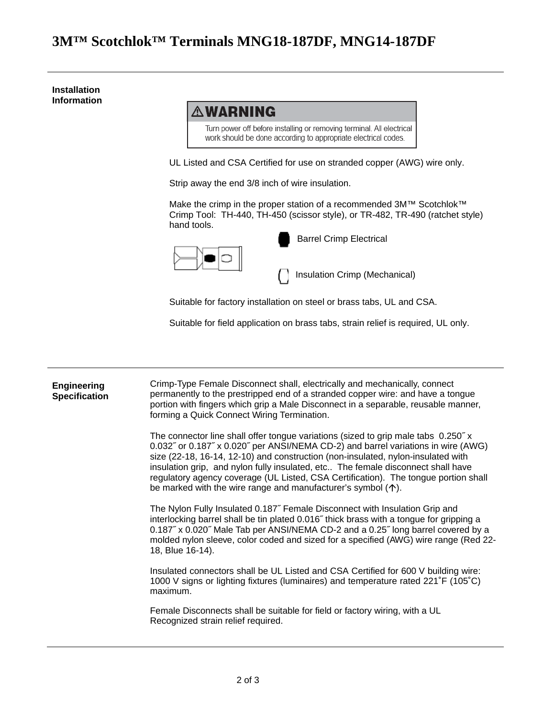#### **3M™ Scotchlok™ Terminals MNG18-187DF, MNG14-187DF**

**Installation Information AWARNING** Turn power off before installing or removing terminal. All electrical work should be done according to appropriate electrical codes. UL Listed and CSA Certified for use on stranded copper (AWG) wire only. Strip away the end 3/8 inch of wire insulation. Make the crimp in the proper station of a recommended 3M™ Scotchlok™ Crimp Tool: TH-440, TH-450 (scissor style), or TR-482, TR-490 (ratchet style) hand tools. Barrel Crimp Electrical Insulation Crimp (Mechanical) Suitable for factory installation on steel or brass tabs, UL and CSA. Suitable for field application on brass tabs, strain relief is required, UL only.